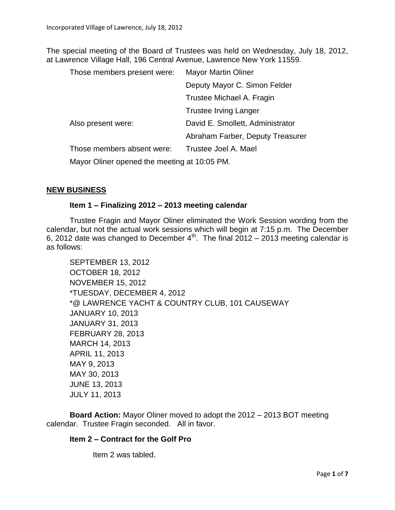The special meeting of the Board of Trustees was held on Wednesday, July 18, 2012, at Lawrence Village Hall, 196 Central Avenue, Lawrence New York 11559.

| Those members present were:                  | <b>Mayor Martin Oliner</b>       |  |  |
|----------------------------------------------|----------------------------------|--|--|
|                                              | Deputy Mayor C. Simon Felder     |  |  |
|                                              | Trustee Michael A. Fragin        |  |  |
|                                              | <b>Trustee Irving Langer</b>     |  |  |
| Also present were:                           | David E. Smollett, Administrator |  |  |
|                                              | Abraham Farber, Deputy Treasurer |  |  |
| Those members absent were:                   | Trustee Joel A. Mael             |  |  |
| Mayor Oliner opened the meeting at 10:05 PM. |                                  |  |  |

### **NEW BUSINESS**

#### **Item 1 – Finalizing 2012 – 2013 meeting calendar**

Trustee Fragin and Mayor Oliner eliminated the Work Session wording from the calendar, but not the actual work sessions which will begin at 7:15 p.m. The December 6, 2012 date was changed to December  $4^{\text{th}}$ . The final 2012 – 2013 meeting calendar is as follows:

```
SEPTEMBER 13, 2012
OCTOBER 18, 2012
NOVEMBER 15, 2012
*TUESDAY, DECEMBER 4, 2012 
*@ LAWRENCE YACHT & COUNTRY CLUB, 101 CAUSEWAY
JANUARY 10, 2013
JANUARY 31, 2013
FEBRUARY 28, 2013
MARCH 14, 2013
APRIL 11, 2013
MAY 9, 2013
MAY 30, 2013 
JUNE 13, 2013
JULY 11, 2013
```
**Board Action:** Mayor Oliner moved to adopt the 2012 – 2013 BOT meeting calendar. Trustee Fragin seconded. All in favor.

### **Item 2 – Contract for the Golf Pro**

Item 2 was tabled.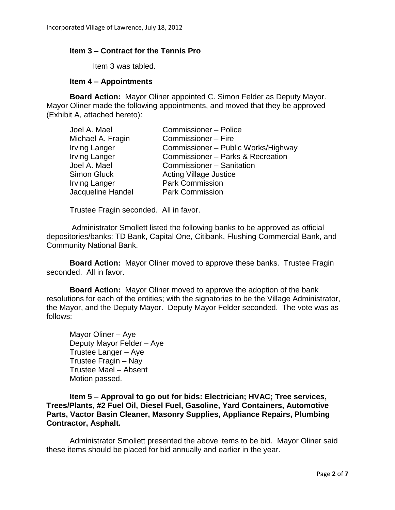## **Item 3 – Contract for the Tennis Pro**

Item 3 was tabled.

### **Item 4 – Appointments**

**Board Action:** Mayor Oliner appointed C. Simon Felder as Deputy Mayor. Mayor Oliner made the following appointments, and moved that they be approved (Exhibit A, attached hereto):

| Commissioner - Police               |
|-------------------------------------|
| Commissioner - Fire                 |
| Commissioner – Public Works/Highway |
| Commissioner - Parks & Recreation   |
| Commissioner - Sanitation           |
| <b>Acting Village Justice</b>       |
| <b>Park Commission</b>              |
| <b>Park Commission</b>              |
|                                     |

Trustee Fragin seconded. All in favor.

Administrator Smollett listed the following banks to be approved as official depositories/banks: TD Bank, Capital One, Citibank, Flushing Commercial Bank, and Community National Bank.

**Board Action:** Mayor Oliner moved to approve these banks. Trustee Fragin seconded. All in favor.

**Board Action:** Mayor Oliner moved to approve the adoption of the bank resolutions for each of the entities; with the signatories to be the Village Administrator, the Mayor, and the Deputy Mayor. Deputy Mayor Felder seconded. The vote was as follows:

Mayor Oliner – Aye Deputy Mayor Felder – Aye Trustee Langer – Aye Trustee Fragin – Nay Trustee Mael – Absent Motion passed.

**Item 5 – Approval to go out for bids: Electrician; HVAC; Tree services, Trees/Plants, #2 Fuel Oil, Diesel Fuel, Gasoline, Yard Containers, Automotive Parts, Vactor Basin Cleaner, Masonry Supplies, Appliance Repairs, Plumbing Contractor, Asphalt.**

Administrator Smollett presented the above items to be bid. Mayor Oliner said these items should be placed for bid annually and earlier in the year.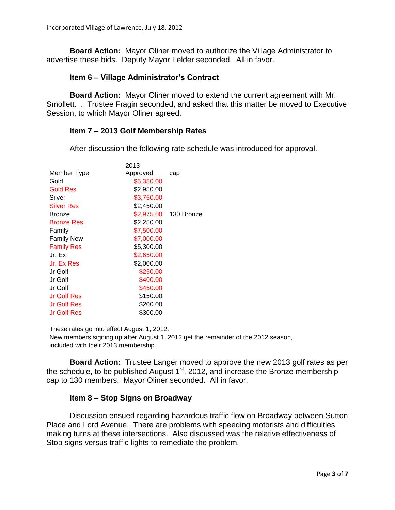**Board Action:** Mayor Oliner moved to authorize the Village Administrator to advertise these bids. Deputy Mayor Felder seconded. All in favor.

## **Item 6 – Village Administrator's Contract**

**Board Action:** Mayor Oliner moved to extend the current agreement with Mr. Smollett. . Trustee Fragin seconded, and asked that this matter be moved to Executive Session, to which Mayor Oliner agreed.

## **Item 7 – 2013 Golf Membership Rates**

After discussion the following rate schedule was introduced for approval.

|                    | 2013       |            |
|--------------------|------------|------------|
| Member Type        | Approved   | cap        |
| Gold               | \$5,350.00 |            |
| <b>Gold Res</b>    | \$2,950.00 |            |
| Silver             | \$3,750.00 |            |
| <b>Silver Res</b>  | \$2,450.00 |            |
| <b>Bronze</b>      | \$2,975.00 | 130 Bronze |
| <b>Bronze Res</b>  | \$2,250.00 |            |
| Family             | \$7,500.00 |            |
| <b>Family New</b>  | \$7,000.00 |            |
| <b>Family Res</b>  | \$5,300.00 |            |
| Jr. Ex             | \$2,650.00 |            |
| Jr. Ex Res         | \$2,000.00 |            |
| Jr Golf            | \$250.00   |            |
| Jr Golf            | \$400.00   |            |
| Jr Golf            | \$450.00   |            |
| <b>Jr Golf Res</b> | \$150.00   |            |
| Jr Golf Res        | \$200.00   |            |
| Jr Golf Res        | \$300.00   |            |

These rates go into effect August 1, 2012.

New members signing up after August 1, 2012 get the remainder of the 2012 season, included with their 2013 membership.

**Board Action:** Trustee Langer moved to approve the new 2013 golf rates as per the schedule, to be published August  $1<sup>st</sup>$ , 2012, and increase the Bronze membership cap to 130 members. Mayor Oliner seconded. All in favor.

## **Item 8 – Stop Signs on Broadway**

Discussion ensued regarding hazardous traffic flow on Broadway between Sutton Place and Lord Avenue. There are problems with speeding motorists and difficulties making turns at these intersections. Also discussed was the relative effectiveness of Stop signs versus traffic lights to remediate the problem.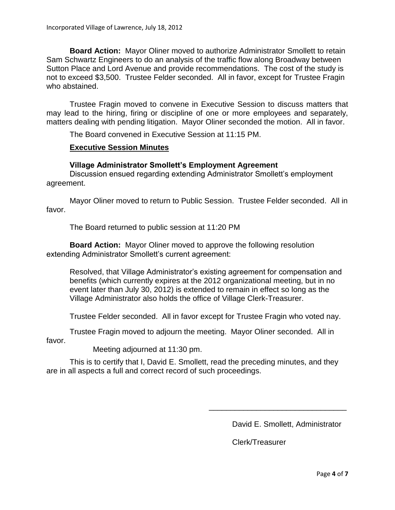**Board Action:** Mayor Oliner moved to authorize Administrator Smollett to retain Sam Schwartz Engineers to do an analysis of the traffic flow along Broadway between Sutton Place and Lord Avenue and provide recommendations. The cost of the study is not to exceed \$3,500. Trustee Felder seconded. All in favor, except for Trustee Fragin who abstained.

Trustee Fragin moved to convene in Executive Session to discuss matters that may lead to the hiring, firing or discipline of one or more employees and separately, matters dealing with pending litigation. Mayor Oliner seconded the motion. All in favor.

The Board convened in Executive Session at 11:15 PM.

### **Executive Session Minutes**

#### **Village Administrator Smollett's Employment Agreement**

Discussion ensued regarding extending Administrator Smollett's employment agreement.

Mayor Oliner moved to return to Public Session. Trustee Felder seconded. All in favor.

The Board returned to public session at 11:20 PM

**Board Action:** Mayor Oliner moved to approve the following resolution extending Administrator Smollett's current agreement:

Resolved, that Village Administrator's existing agreement for compensation and benefits (which currently expires at the 2012 organizational meeting, but in no event later than July 30, 2012) is extended to remain in effect so long as the Village Administrator also holds the office of Village Clerk-Treasurer.

Trustee Felder seconded. All in favor except for Trustee Fragin who voted nay.

Trustee Fragin moved to adjourn the meeting. Mayor Oliner seconded. All in favor.

Meeting adjourned at 11:30 pm.

This is to certify that I, David E. Smollett, read the preceding minutes, and they are in all aspects a full and correct record of such proceedings.

David E. Smollett, Administrator

\_\_\_\_\_\_\_\_\_\_\_\_\_\_\_\_\_\_\_\_\_\_\_\_\_\_\_\_\_\_\_\_

Clerk/Treasurer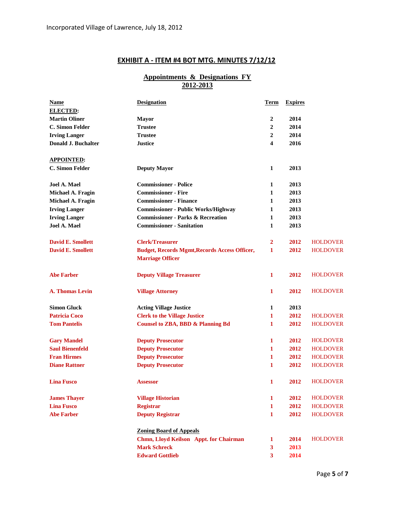# **EXHIBIT A - ITEM #4 BOT MTG. MINUTES 7/12/12**

#### **Appointments & Designations FY 2012-2013**

| <b>Name</b>                | <b>Designation</b>                                   | Term             | <b>Expires</b> |                 |
|----------------------------|------------------------------------------------------|------------------|----------------|-----------------|
| <b>ELECTED:</b>            |                                                      |                  |                |                 |
| <b>Martin Oliner</b>       | <b>Mayor</b>                                         | 2                | 2014           |                 |
| <b>C. Simon Felder</b>     | <b>Trustee</b>                                       | 2                | 2014           |                 |
| <b>Irving Langer</b>       | <b>Trustee</b>                                       | $\boldsymbol{2}$ | 2014           |                 |
| <b>Donald J. Buchalter</b> | <b>Justice</b>                                       | 4                | 2016           |                 |
| <u>APPOINTED:</u>          |                                                      |                  |                |                 |
| <b>C. Simon Felder</b>     | <b>Deputy Mayor</b>                                  | $\mathbf{1}$     | 2013           |                 |
| Joel A. Mael               | <b>Commissioner - Police</b>                         | 1                | 2013           |                 |
| Michael A. Fragin          | <b>Commissioner - Fire</b>                           | 1                | 2013           |                 |
| Michael A. Fragin          | <b>Commissioner - Finance</b>                        | $\mathbf{1}$     | 2013           |                 |
| <b>Irving Langer</b>       | <b>Commissioner - Public Works/Highway</b>           | 1                | 2013           |                 |
| <b>Irving Langer</b>       | <b>Commissioner - Parks &amp; Recreation</b>         | 1                | 2013           |                 |
| <b>Joel A. Mael</b>        | <b>Commissioner - Sanitation</b>                     | 1                | 2013           |                 |
| <b>David E. Smollett</b>   | <b>Clerk/Treasurer</b>                               | $\overline{2}$   | 2012           | <b>HOLDOVER</b> |
| <b>David E. Smollett</b>   | <b>Budget, Records Mgmt, Records Access Officer,</b> | 1                | 2012           | <b>HOLDOVER</b> |
|                            | <b>Marriage Officer</b>                              |                  |                |                 |
| <b>Abe Farber</b>          | <b>Deputy Village Treasurer</b>                      | 1                | 2012           | <b>HOLDOVER</b> |
| <b>A. Thomas Levin</b>     | <b>Village Attorney</b>                              | 1                | 2012           | <b>HOLDOVER</b> |
| <b>Simon Gluck</b>         | <b>Acting Village Justice</b>                        | $\mathbf{1}$     | 2013           |                 |
| <b>Patricia Coco</b>       | <b>Clerk to the Village Justice</b>                  | 1                | 2012           | <b>HOLDOVER</b> |
| <b>Tom Pantelis</b>        | <b>Counsel to ZBA, BBD &amp; Planning Bd</b>         | 1                | 2012           | <b>HOLDOVER</b> |
| <b>Gary Mandel</b>         | <b>Deputy Prosecutor</b>                             | 1                | 2012           | <b>HOLDOVER</b> |
| <b>Saul Bienenfeld</b>     | <b>Deputy Prosecutor</b>                             | 1                | 2012           | <b>HOLDOVER</b> |
| <b>Fran Hirmes</b>         | <b>Deputy Prosecutor</b>                             | 1                | 2012           | <b>HOLDOVER</b> |
| <b>Diane Rattner</b>       | <b>Deputy Prosecutor</b>                             | 1                | 2012           | <b>HOLDOVER</b> |
| <b>Lina Fusco</b>          | <b>Assessor</b>                                      | 1                | 2012           | <b>HOLDOVER</b> |
| <b>James Thayer</b>        | <b>Village Historian</b>                             | 1                | 2012           | <b>HOLDOVER</b> |
| <b>Lina Fusco</b>          | <b>Registrar</b>                                     | 1                | 2012           | <b>HOLDOVER</b> |
| <b>Abe Farber</b>          | <b>Deputy Registrar</b>                              | 1                | 2012           | <b>HOLDOVER</b> |
|                            | <b>Zoning Board of Appeals</b>                       |                  |                |                 |
|                            | Chmn, Lloyd Keilson Appt. for Chairman               | 1                | 2014           | <b>HOLDOVER</b> |
|                            | <b>Mark Schreck</b>                                  | $\mathbf{3}$     | 2013           |                 |
|                            | <b>Edward Gottlieb</b>                               | $\mathbf{3}$     | 2014           |                 |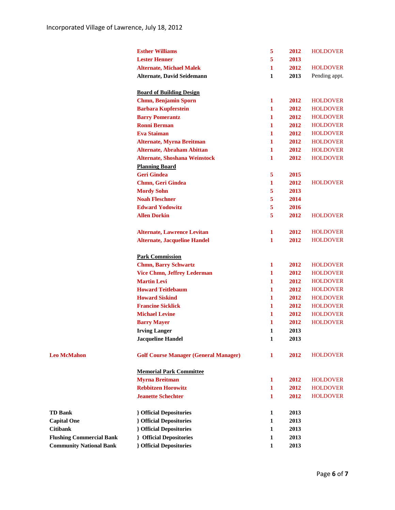|                                 | <b>Esther Williams</b>                       | 5 | 2012 | <b>HOLDOVER</b> |
|---------------------------------|----------------------------------------------|---|------|-----------------|
|                                 | <b>Lester Henner</b>                         | 5 | 2013 |                 |
|                                 | <b>Alternate, Michael Malek</b>              | 1 | 2012 | <b>HOLDOVER</b> |
|                                 | Alternate, David Seidemann                   | 1 | 2013 | Pending appt.   |
|                                 |                                              |   |      |                 |
|                                 | <b>Board of Building Design</b>              |   |      |                 |
|                                 | <b>Chmn, Benjamin Sporn</b>                  | 1 | 2012 | <b>HOLDOVER</b> |
|                                 | <b>Barbara Kupferstein</b>                   | 1 | 2012 | <b>HOLDOVER</b> |
|                                 | <b>Barry Pomerantz</b>                       | 1 | 2012 | <b>HOLDOVER</b> |
|                                 | <b>Ronni Berman</b>                          | 1 | 2012 | <b>HOLDOVER</b> |
|                                 | <b>Eva Staiman</b>                           | 1 | 2012 | <b>HOLDOVER</b> |
|                                 | <b>Alternate, Myrna Breitman</b>             | 1 | 2012 | <b>HOLDOVER</b> |
|                                 | <b>Alternate, Abraham Abittan</b>            | 1 | 2012 | <b>HOLDOVER</b> |
|                                 | <b>Alternate, Shoshana Weinstock</b>         | 1 | 2012 | <b>HOLDOVER</b> |
|                                 | <b>Planning Board</b>                        |   |      |                 |
|                                 | <b>Geri Gindea</b>                           | 5 | 2015 |                 |
|                                 | Chmn, Geri Gindea                            | 1 | 2012 | <b>HOLDOVER</b> |
|                                 | <b>Mordy Sohn</b>                            | 5 | 2013 |                 |
|                                 | <b>Noah Fleschner</b>                        | 5 | 2014 |                 |
|                                 | <b>Edward Yodowitz</b>                       | 5 | 2016 |                 |
|                                 | <b>Allen Dorkin</b>                          | 5 | 2012 | <b>HOLDOVER</b> |
|                                 | <b>Alternate, Lawrence Levitan</b>           | 1 | 2012 | <b>HOLDOVER</b> |
|                                 | <b>Alternate, Jacqueline Handel</b>          | 1 | 2012 | <b>HOLDOVER</b> |
|                                 |                                              |   |      |                 |
|                                 | <b>Park Commission</b>                       |   |      |                 |
|                                 | <b>Chmn, Barry Schwartz</b>                  | 1 | 2012 | <b>HOLDOVER</b> |
|                                 | <b>Vice Chmn, Jeffrey Lederman</b>           | 1 | 2012 | <b>HOLDOVER</b> |
|                                 | <b>Martin Levi</b>                           | 1 | 2012 | <b>HOLDOVER</b> |
|                                 | <b>Howard Teitlebaum</b>                     | 1 | 2012 | <b>HOLDOVER</b> |
|                                 | <b>Howard Siskind</b>                        | 1 | 2012 | <b>HOLDOVER</b> |
|                                 | <b>Francine Sicklick</b>                     | 1 | 2012 | <b>HOLDOVER</b> |
|                                 | <b>Michael Levine</b>                        | 1 | 2012 | <b>HOLDOVER</b> |
|                                 | <b>Barry Mayer</b>                           | 1 | 2012 | <b>HOLDOVER</b> |
|                                 | <b>Irving Langer</b>                         | 1 | 2013 |                 |
|                                 | <b>Jacqueline Handel</b>                     | 1 | 2013 |                 |
| <b>Leo McMahon</b>              | <b>Golf Course Manager (General Manager)</b> | 1 | 2012 | <b>HOLDOVER</b> |
|                                 | <b>Memorial Park Committee</b>               |   |      |                 |
|                                 | <b>Myrna Breitman</b>                        | 1 | 2012 | <b>HOLDOVER</b> |
|                                 | <b>Rebbitzen Horowitz</b>                    | 1 | 2012 | <b>HOLDOVER</b> |
|                                 | <b>Jeanette Schechter</b>                    | 1 | 2012 | <b>HOLDOVER</b> |
| <b>TD Bank</b>                  | <b>} Official Depositories</b>               | 1 | 2013 |                 |
| <b>Capital One</b>              | <b>} Official Depositories</b>               | 1 | 2013 |                 |
| <b>Citibank</b>                 | <b>{</b> Official Depositories               | 1 | 2013 |                 |
| <b>Flushing Commercial Bank</b> | <b>} Official Depositories</b>               | 1 | 2013 |                 |
| <b>Community National Bank</b>  | <b>} Official Depositories</b>               | 1 | 2013 |                 |
|                                 |                                              |   |      |                 |